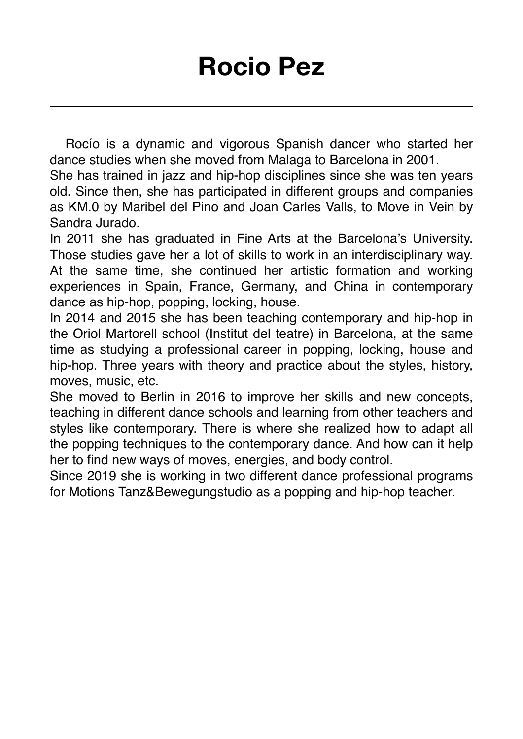Rocío is a dynamic and vigorous Spanish dancer who started her dance studies when she moved from Malaga to Barcelona in 2001.

She has trained in jazz and hip-hop disciplines since she was ten years old. Since then, she has participated in different groups and companies as KM.0 by Maribel del Pino and Joan Carles Valls, to Move in Vein by Sandra Jurado.

In 2011 she has graduated in Fine Arts at the Barcelona's University. Those studies gave her a lot of skills to work in an interdisciplinary way. At the same time, she continued her artistic formation and working experiences in Spain, France, Germany, and China in contemporary dance as hip-hop, popping, locking, house.

In 2014 and 2015 she has been teaching contemporary and hip-hop in the Oriol Martorell school (Institut del teatre) in Barcelona, at the same time as studying a professional career in popping, locking, house and hip-hop. Three years with theory and practice about the styles, history, moves, music, etc.

She moved to Berlin in 2016 to improve her skills and new concepts, teaching in different dance schools and learning from other teachers and styles like contemporary. There is where she realized how to adapt all the popping techniques to the contemporary dance. And how can it help her to find new ways of moves, energies, and body control.

Since 2019 she is working in two different dance professional programs for Motions Tanz&Bewegungstudio as a popping and hip-hop teacher.